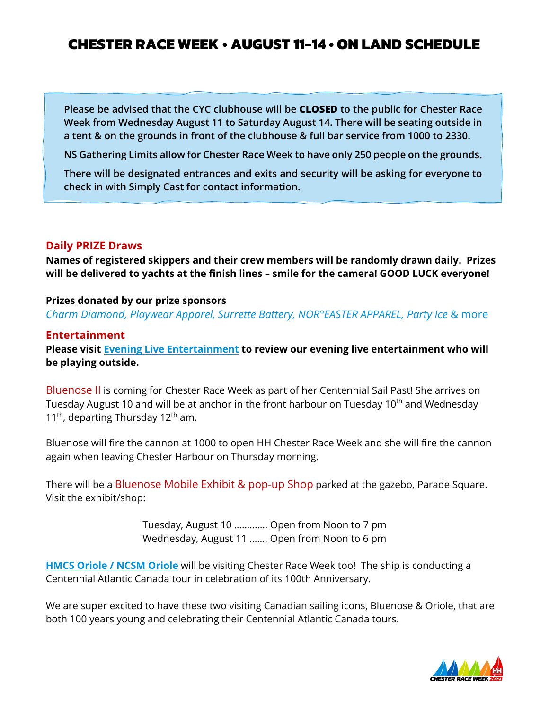### **CHESTER RACE WEEK • AUGUST 11-14 • ON LAND SCHEDULE**

**Please be advised that the CYC clubhouse will be CLOSED to the public for Chester Race Week from Wednesday August 11 to Saturday August 14. There will be seating outside in a tent & on the grounds in front of the clubhouse & full bar service from 1000 to 2330.**

**NS Gathering Limits allow for Chester Race Week to have only 250 people on the grounds.**

**There will be designated entrances and exits and security will be asking for everyone to check in with Simply Cast for contact information.** 

#### **Daily PRIZE Draws**

**Names of registered skippers and their crew members will be randomly drawn daily. Prizes will be delivered to yachts at the finish lines – smile for the camera! GOOD LUCK everyone!** 

#### **Prizes donated by our prize sponsors**

*Charm Diamond, Playwear Apparel, Surrette Battery, NOR°EASTER APPAREL, Party Ice* & more

#### **Entertainment**

**Please visit [Evening Live Entertainment](https://www.chesterraceweek.com/after-dark/) to review our evening live entertainment who will be playing outside.** 

Bluenose II is coming for Chester Race Week as part of her Centennial Sail Past! She arrives on Tuesday August 10 and will be at anchor in the front harbour on Tuesday 10<sup>th</sup> and Wednesday 11<sup>th</sup>, departing Thursday 12<sup>th</sup> am.

Bluenose will fire the cannon at 1000 to open HH Chester Race Week and she will fire the cannon again when leaving Chester Harbour on Thursday morning.

There will be a Bluenose Mobile Exhibit & pop-up Shop parked at the gazebo, Parade Square. Visit the exhibit/shop:

> Tuesday, August 10 …………. Open from Noon to 7 pm Wednesday, August 11 ……. Open from Noon to 6 pm

**[HMCS Oriole / NCSM Oriole](https://www.facebook.com/HMCSNCSMORIOLE/?__cft__%5b0%5d=AZXYUclhEjoIlRvkHaVC0zPMTNqae5TCo-zNbtQ_l_5c8brEoRP-6sZNZhjJovqpfAUUIjo-7QalZbvsIvCaMrneJO6FU1eR0mrJfmwU9l6ph2JZVdqSi1HzWceugFt-8DE&__tn__=kK-R)** will be visiting Chester Race Week too! The ship is conducting a Centennial Atlantic Canada tour in celebration of its 100th Anniversary.

We are super excited to have these two visiting Canadian sailing icons, Bluenose & Oriole, that are both 100 years young and celebrating their Centennial Atlantic Canada tours.

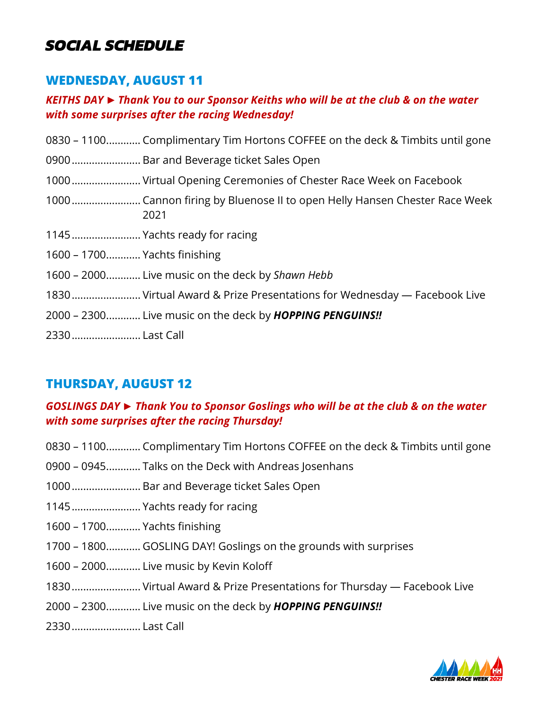## *SOCIAL SCHEDULE*

## **WEDNESDAY, AUGUST 11**

### *KEITHS DAY ► Thank You to our Sponsor Keiths who will be at the club & on the water with some surprises after the racing Wednesday!*

| 0830 – 1100 Complimentary Tim Hortons COFFEE on the deck & Timbits until gone |
|-------------------------------------------------------------------------------|
| 0900 Bar and Beverage ticket Sales Open                                       |
| 1000 Virtual Opening Ceremonies of Chester Race Week on Facebook              |
| 2021                                                                          |
| 1145 Yachts ready for racing                                                  |
| 1600 - 1700 Yachts finishing                                                  |
| 1600 – 2000 Live music on the deck by Shawn Hebb                              |
| 1830 Virtual Award & Prize Presentations for Wednesday — Facebook Live        |
| 2000 - 2300 Live music on the deck by <b>HOPPING PENGUINS!!</b>               |
| 2330 Last Call                                                                |
|                                                                               |

## **THURSDAY, AUGUST 12**

### *GOSLINGS DAY ► Thank You to Sponsor Goslings who will be at the club & on the water with some surprises after the racing Thursday!*

- 0830 1100............ Complimentary Tim Hortons COFFEE on the deck & Timbits until gone
- 0900 0945............ Talks on the Deck with Andreas Josenhans
- 1000........................ Bar and Beverage ticket Sales Open
- 1145........................ Yachts ready for racing
- 1600 1700............ Yachts finishing
- 1700 1800............ GOSLING DAY! Goslings on the grounds with surprises
- 1600 2000............ Live music by Kevin Koloff
- 1830........................ Virtual Award & Prize Presentations for Thursday Facebook Live
- 2000 2300............ Live music on the deck by *HOPPING PENGUINS!!*
- 2330........................ Last Call

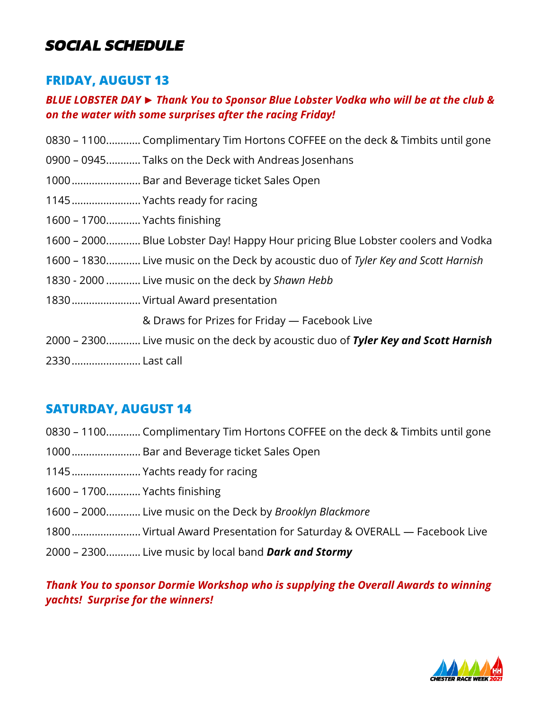## *SOCIAL SCHEDULE*

## **FRIDAY, AUGUST 13**

### *BLUE LOBSTER DAY ► Thank You to Sponsor Blue Lobster Vodka who will be at the club & on the water with some surprises after the racing Friday!*

|                              | 0830 – 1100 Complimentary Tim Hortons COFFEE on the deck & Timbits until gone     |
|------------------------------|-----------------------------------------------------------------------------------|
|                              | 0900 – 0945 Talks on the Deck with Andreas Josenhans                              |
|                              | 1000 Bar and Beverage ticket Sales Open                                           |
|                              | 1145 Yachts ready for racing                                                      |
| 1600 - 1700 Yachts finishing |                                                                                   |
|                              | 1600 - 2000 Blue Lobster Day! Happy Hour pricing Blue Lobster coolers and Vodka   |
|                              | 1600 – 1830 Live music on the Deck by acoustic duo of Tyler Key and Scott Harnish |
|                              | 1830 - 2000  Live music on the deck by Shawn Hebb                                 |
|                              | 1830 Virtual Award presentation                                                   |
|                              | & Draws for Prizes for Friday - Facebook Live                                     |
|                              | 2000 – 2300 Live music on the deck by acoustic duo of Tyler Key and Scott Harnish |
| 2330  Last call              |                                                                                   |

## **SATURDAY, AUGUST 14**

- 0830 1100............ Complimentary Tim Hortons COFFEE on the deck & Timbits until gone
- 1000........................ Bar and Beverage ticket Sales Open
- 1145........................ Yachts ready for racing
- 1600 1700............ Yachts finishing
- 1600 2000............ Live music on the Deck by *Brooklyn Blackmore*
- 1800........................ Virtual Award Presentation for Saturday & OVERALL Facebook Live
- 2000 2300............ Live music by local band *Dark and Stormy*

### *Thank You to sponsor Dormie Workshop who is supplying the Overall Awards to winning yachts! Surprise for the winners!*

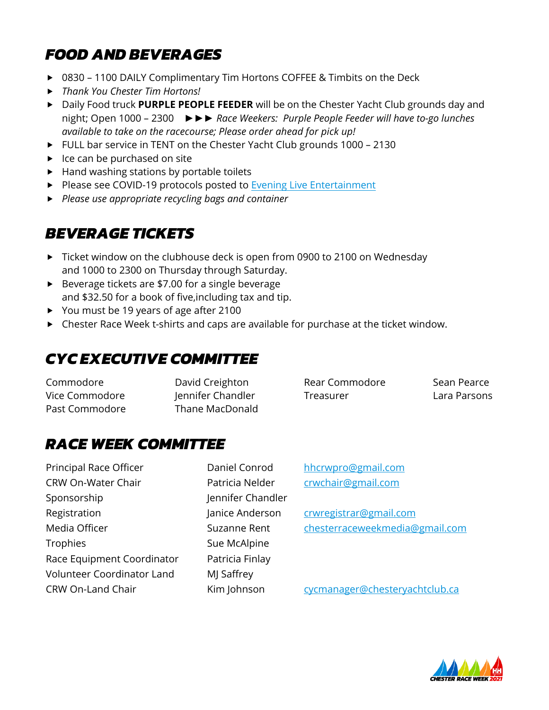# *FOOD AND BEVERAGES*

- ▶ 0830 1100 DAILY Complimentary Tim Hortons COFFEE & Timbits on the Deck
- *Thank You Chester Tim Hortons!*
- Daily Food truck **PURPLE PEOPLE FEEDER** will be on the Chester Yacht Club grounds day and night; Open 1000 – 2300 *►►► Race Weekers: Purple People Feeder will have to-go lunches available to take on the racecourse; Please order ahead for pick up!*
- ► FULL bar service in TENT on the Chester Yacht Club grounds 1000 2130
- $\blacktriangleright$  Ice can be purchased on site
- ▶ Hand washing stations by portable toilets
- Please see COVID-19 protocols posted to Evening Live Entertainment
- *Please use appropriate recycling bags and container*

# *BEVERAGE TICKETS*

- ▶ Ticket window on the clubhouse deck is open from 0900 to 2100 on Wednesday and 1000 to 2300 on Thursday through Saturday.
- ▶ Beverage tickets are \$7.00 for a single beverage and \$32.50 for a book of five,including tax and tip.
- ▶ You must be 19 years of age after 2100
- Chester Race Week t-shirts and caps are available for purchase at the ticket window.

# *CYC EXECUTIVE COMMITTEE*

Commodore David Creighton Rear Commodore Sean Pearce Vice Commodore Jennifer Chandler Treasurer Lara Parsons Past Commodore Thane MacDonald

# *RACE WEEK COMMITTEE*

Principal Race Officer **Daniel Conrod** [hhcrwpro@gmail.com](mailto:hhcrwpro@gmail.com) CRW On-Water Chair Patricia Nelder [crwchair@gmail.com](mailto:crwchair@gmail.com) Sponsorship Jennifer Chandler Registration Manice Anderson Contrasting Communist Communist Communist Communist Communist Communist Communist Communist Communist Communist Communist Communist Communist Communist Communist Communist Communist Communist C Trophies Sue McAlpine Race Equipment Coordinator Patricia Finlay Volunteer Coordinator Land MJ Saffrey

Media Officer The Suzanne Rent [chesterraceweekmedia@gmail.com](mailto:chesterraceweekmedia@gmail.com)

CRW On-Land Chair Kim Johnson [cycmanager@chesteryachtclub.ca](mailto:cycmanager@chesteryachtclub.ca)